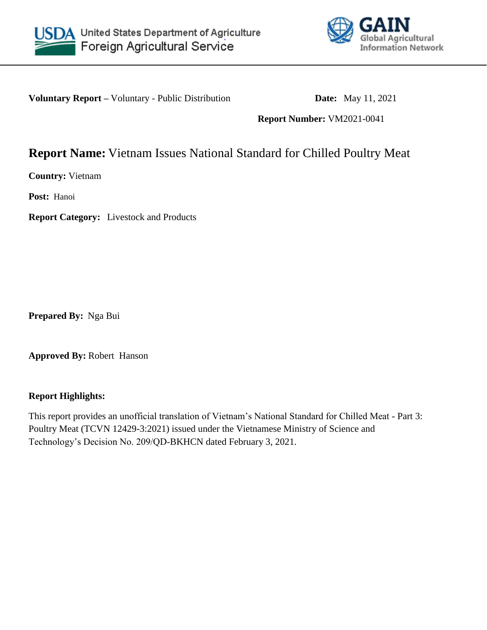



**Voluntary Report –** Voluntary - Public Distribution **Date:** May 11, 2021

**Report Number:** VM2021-0041

# **Report Name:** Vietnam Issues National Standard for Chilled Poultry Meat

**Country:** Vietnam

**Post:** Hanoi

**Report Category:** Livestock and Products

**Prepared By:** Nga Bui

**Approved By:** Robert Hanson

#### **Report Highlights:**

This report provides an unofficial translation of Vietnam's National Standard for Chilled Meat - Part 3: Poultry Meat (TCVN 12429-3:2021) issued under the Vietnamese Ministry of Science and Technology's Decision No. 209/QD-BKHCN dated February 3, 2021.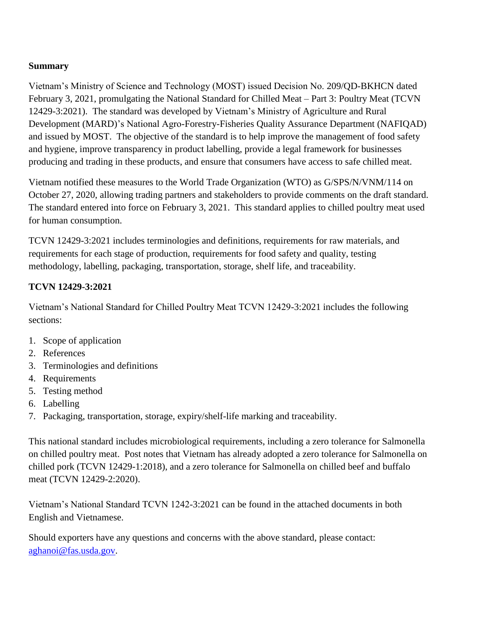## **Summary**

Vietnam's Ministry of Science and Technology (MOST) issued Decision No. 209/QD-BKHCN dated February 3, 2021, promulgating the National Standard for Chilled Meat – Part 3: Poultry Meat (TCVN 12429-3:2021). The standard was developed by Vietnam's Ministry of Agriculture and Rural Development (MARD)'s National Agro-Forestry-Fisheries Quality Assurance Department (NAFIQAD) and issued by MOST. The objective of the standard is to help improve the management of food safety and hygiene, improve transparency in product labelling, provide a legal framework for businesses producing and trading in these products, and ensure that consumers have access to safe chilled meat.

Vietnam notified these measures to the World Trade Organization (WTO) as G/SPS/N/VNM/114 on October 27, 2020, allowing trading partners and stakeholders to provide comments on the draft standard. The standard entered into force on February 3, 2021. This standard applies to chilled poultry meat used for human consumption.

TCVN 12429-3:2021 includes terminologies and definitions, requirements for raw materials, and requirements for each stage of production, requirements for food safety and quality, testing methodology, labelling, packaging, transportation, storage, shelf life, and traceability.

## **TCVN 12429-3:2021**

Vietnam's National Standard for Chilled Poultry Meat TCVN 12429-3:2021 includes the following sections:

- 1. Scope of application
- 2. References
- 3. Terminologies and definitions
- 4. Requirements
- 5. Testing method
- 6. Labelling
- 7. Packaging, transportation, storage, expiry/shelf-life marking and traceability.

This national standard includes microbiological requirements, including a zero tolerance for Salmonella on chilled poultry meat. Post notes that Vietnam has already adopted a zero tolerance for Salmonella on chilled pork (TCVN 12429-1:2018), and a zero tolerance for Salmonella on chilled beef and buffalo meat (TCVN 12429-2:2020).

Vietnam's National Standard TCVN 1242-3:2021 can be found in the attached documents in both English and Vietnamese.

Should exporters have any questions and concerns with the above standard, please contact: [aghanoi@fas.usda.gov.](mailto:aghanoi@fas.usda.gov)